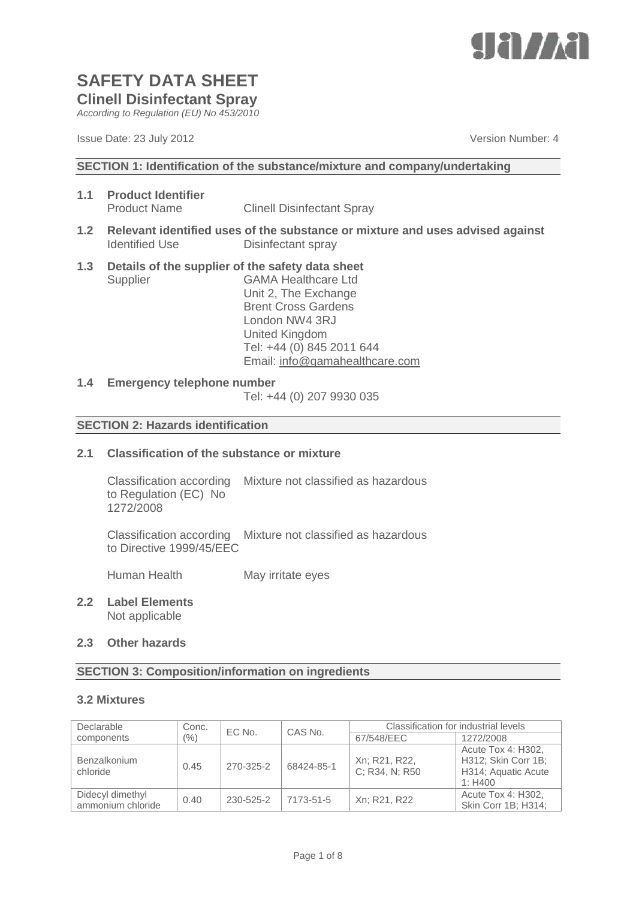

*According to Regulation (EU) No 453/2010*

Issue Date: 23 July 2012 **Version Number: 4** Number: 4

**SECTION 1: Identification of the substance/mixture and company/undertaking**

- **1.1 Product Identifier** Product Name Clinell Disinfectant Spray
- **1.2 Relevant identified uses of the substance or mixture and uses advised against** Identified Use Disinfectant spray
- **1.3 Details of the supplier of the safety data sheet** Supplier GAMA Healthcare Ltd Unit 2, The Exchange Brent Cross Gardens

London NW4 3RJ United Kingdom Tel: +44 (0) 845 2011 644 Email: [info@gamahealthcare.com](mailto:info@gamahealthcare.com)

#### **1.4 Emergency telephone number**

Tel: +44 (0) 207 9930 035

#### **SECTION 2: Hazards identification**

#### **2.1 Classification of the substance or mixture**

Classification according Mixture not classified as hazardous to Regulation (EC) No 1272/2008

Classification according Mixture not classified as hazardous to Directive 1999/45/EEC

Human Health May irritate eyes

**2.2 Label Elements** Not applicable

#### **2.3 Other hazards**

#### **SECTION 3: Composition/information on ingredients**

#### **3.2 Mixtures**

| Declarable                            | Conc.   | EC No.    | CAS No.    | Classification for industrial levels |                                                                             |
|---------------------------------------|---------|-----------|------------|--------------------------------------|-----------------------------------------------------------------------------|
| components                            | $(\% )$ |           |            | 67/548/EEC                           | 1272/2008                                                                   |
| <b>Benzalkonium</b><br>chloride       | 0.45    | 270-325-2 | 68424-85-1 | Xn; R21, R22,<br>C: R34, N: R50      | Acute Tox 4: H302,<br>H312; Skin Corr 1B;<br>H314; Aquatic Acute<br>1: H400 |
| Didecyl dimethyl<br>ammonium chloride | 0.40    | 230-525-2 | 7173-51-5  | Xn; R21, R22                         | Acute Tox 4: H302,<br>Skin Corr 1B; H314;                                   |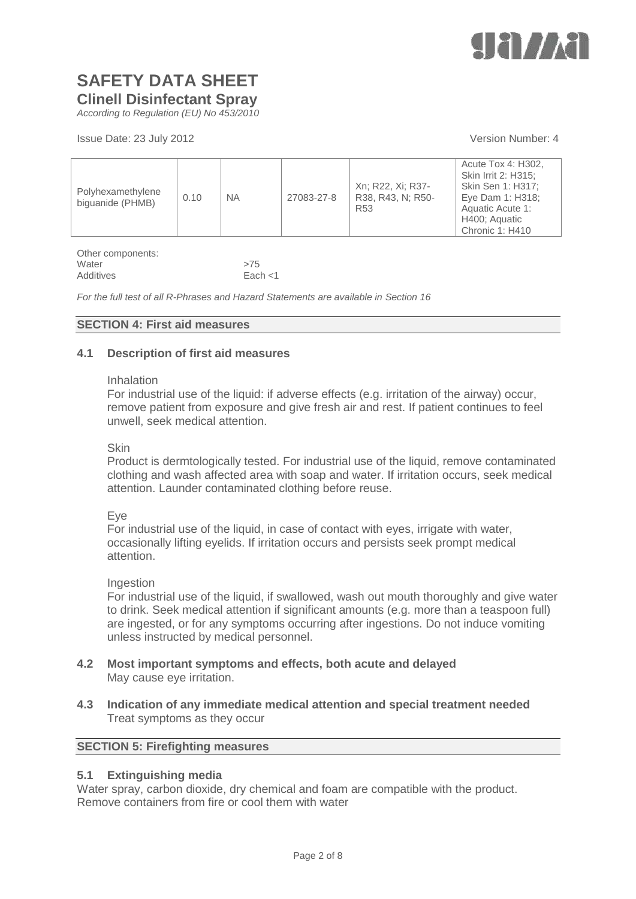

*According to Regulation (EU) No 453/2010*

Issue Date: 23 July 2012 **Version Number: 4** Number: 4

| Polyhexamethylene<br>biquanide (PHMB) | 0.10 | <b>NA</b> | 27083-27-8 | Xn; R22, Xi; R37-<br>R38, R43, N: R50-<br>R <sub>53</sub> | Acute Tox 4: H302,<br>Skin Irrit 2: H315;<br>Skin Sen 1: H317;<br>Eye Dam 1: H318;<br>Aquatic Acute 1:<br>H400; Aquatic<br>Chronic 1: H410 |
|---------------------------------------|------|-----------|------------|-----------------------------------------------------------|--------------------------------------------------------------------------------------------------------------------------------------------|
|---------------------------------------|------|-----------|------------|-----------------------------------------------------------|--------------------------------------------------------------------------------------------------------------------------------------------|

Other components: Water  $>75$ Additives Each <1

*For the full test of all R-Phrases and Hazard Statements are available in Section 16*

#### **SECTION 4: First aid measures**

#### **4.1 Description of first aid measures**

#### Inhalation

For industrial use of the liquid: if adverse effects (e.g. irritation of the airway) occur, remove patient from exposure and give fresh air and rest. If patient continues to feel unwell, seek medical attention.

#### Skin

Product is dermtologically tested. For industrial use of the liquid, remove contaminated clothing and wash affected area with soap and water. If irritation occurs, seek medical attention. Launder contaminated clothing before reuse.

#### Eye

For industrial use of the liquid, in case of contact with eyes, irrigate with water, occasionally lifting eyelids. If irritation occurs and persists seek prompt medical attention.

#### Ingestion

For industrial use of the liquid, if swallowed, wash out mouth thoroughly and give water to drink. Seek medical attention if significant amounts (e.g. more than a teaspoon full) are ingested, or for any symptoms occurring after ingestions. Do not induce vomiting unless instructed by medical personnel.

- **4.2 Most important symptoms and effects, both acute and delayed** May cause eye irritation.
- **4.3 Indication of any immediate medical attention and special treatment needed** Treat symptoms as they occur

#### **SECTION 5: Firefighting measures**

#### **5.1 Extinguishing media**

Water spray, carbon dioxide, dry chemical and foam are compatible with the product. Remove containers from fire or cool them with water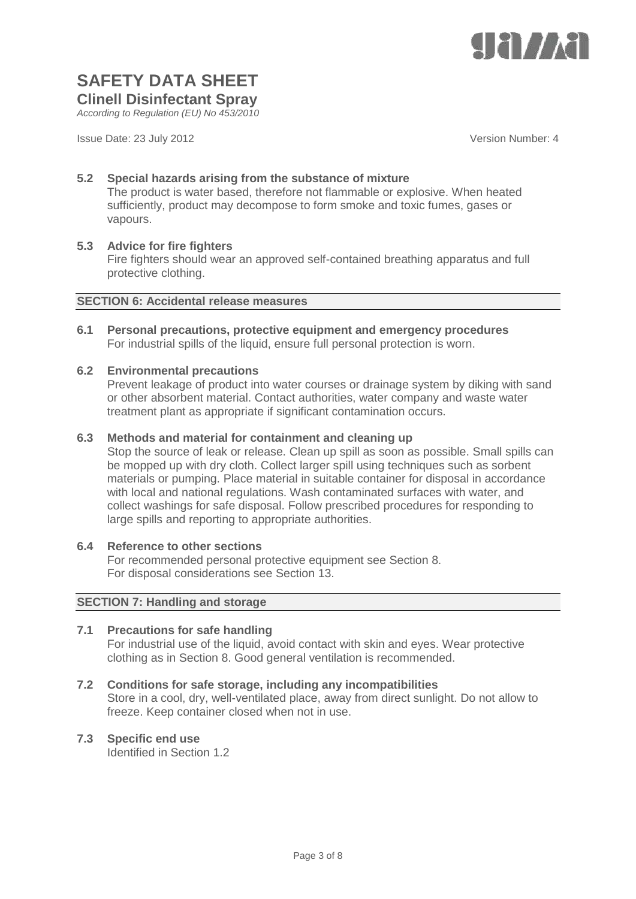

# **SAFETY DATA SHEET**

**Clinell Disinfectant Spray**

*According to Regulation (EU) No 453/2010*

Issue Date: 23 July 2012 **Version Number: 4** Version Number: 4

#### **5.2 Special hazards arising from the substance of mixture**

The product is water based, therefore not flammable or explosive. When heated sufficiently, product may decompose to form smoke and toxic fumes, gases or vapours.

#### **5.3 Advice for fire fighters**

Fire fighters should wear an approved self-contained breathing apparatus and full protective clothing.

#### **SECTION 6: Accidental release measures**

**6.1 Personal precautions, protective equipment and emergency procedures** For industrial spills of the liquid, ensure full personal protection is worn.

#### **6.2 Environmental precautions**

Prevent leakage of product into water courses or drainage system by diking with sand or other absorbent material. Contact authorities, water company and waste water treatment plant as appropriate if significant contamination occurs.

#### **6.3 Methods and material for containment and cleaning up**

Stop the source of leak or release. Clean up spill as soon as possible. Small spills can be mopped up with dry cloth. Collect larger spill using techniques such as sorbent materials or pumping. Place material in suitable container for disposal in accordance with local and national regulations. Wash contaminated surfaces with water, and collect washings for safe disposal. Follow prescribed procedures for responding to large spills and reporting to appropriate authorities.

#### **6.4 Reference to other sections**

For recommended personal protective equipment see Section 8. For disposal considerations see Section 13.

#### **SECTION 7: Handling and storage**

#### **7.1 Precautions for safe handling**

For industrial use of the liquid, avoid contact with skin and eyes. Wear protective clothing as in Section 8. Good general ventilation is recommended.

#### **7.2 Conditions for safe storage, including any incompatibilities**

Store in a cool, dry, well-ventilated place, away from direct sunlight. Do not allow to freeze. Keep container closed when not in use.

#### **7.3 Specific end use**

Identified in Section 1.2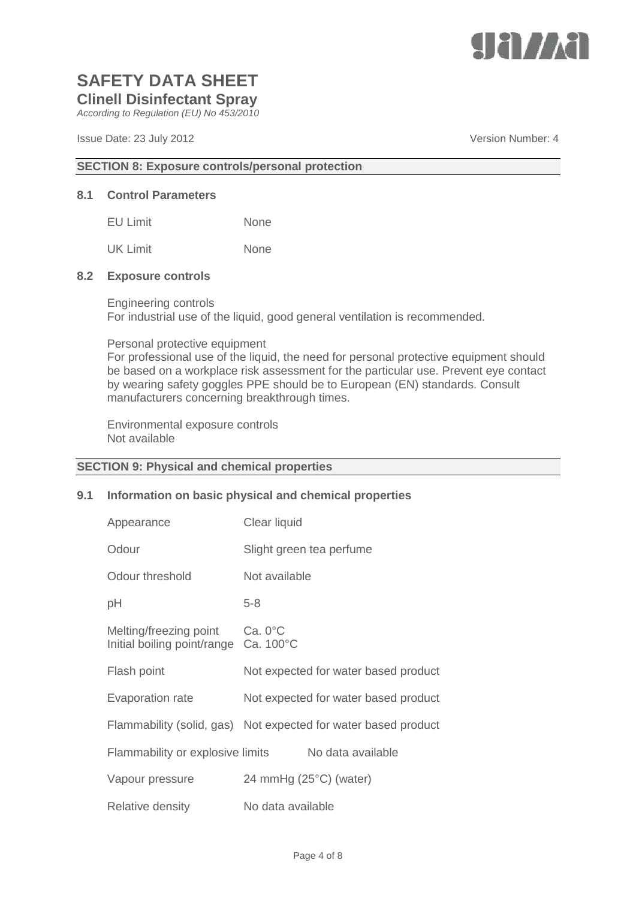

*According to Regulation (EU) No 453/2010*

Issue Date: 23 July 2012 **Version Number: 4** Version Number: 4

#### **SECTION 8: Exposure controls/personal protection**

#### **8.1 Control Parameters**

| <b>EU Limit</b> | <b>None</b> |
|-----------------|-------------|
| <b>UK Limit</b> | <b>None</b> |

#### **8.2 Exposure controls**

Engineering controls For industrial use of the liquid, good general ventilation is recommended.

#### Personal protective equipment

For professional use of the liquid, the need for personal protective equipment should be based on a workplace risk assessment for the particular use. Prevent eye contact by wearing safety goggles PPE should be to European (EN) standards. Consult manufacturers concerning breakthrough times.

Environmental exposure controls Not available

#### **SECTION 9: Physical and chemical properties**

#### **9.1 Information on basic physical and chemical properties**

| Appearance                                            | Clear liquid                                                   |
|-------------------------------------------------------|----------------------------------------------------------------|
| Odour                                                 | Slight green tea perfume                                       |
| Odour threshold                                       | Not available                                                  |
| рH                                                    | $5 - 8$                                                        |
| Melting/freezing point<br>Initial boiling point/range | $Ca.0^{\circ}C$<br>Ca. 100°C                                   |
| Flash point                                           | Not expected for water based product                           |
| <b>Evaporation rate</b>                               | Not expected for water based product                           |
|                                                       | Flammability (solid, gas) Not expected for water based product |
| Flammability or explosive limits                      | No data available                                              |
| Vapour pressure                                       | 24 mmHg (25°C) (water)                                         |
| <b>Relative density</b>                               | No data available                                              |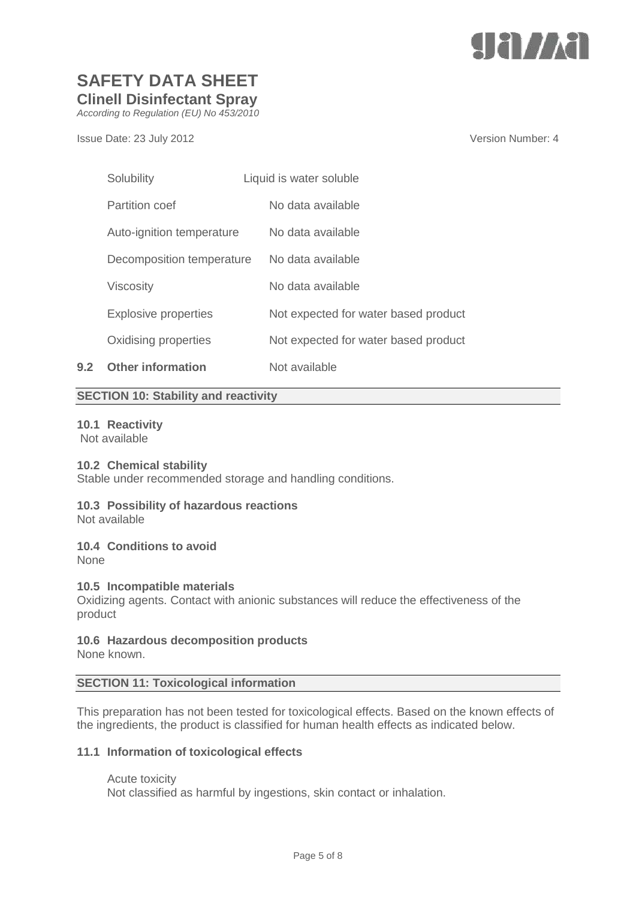

*According to Regulation (EU) No 453/2010*

Issue Date: 23 July 2012 **Version Number: 4** Number: 4

|     | Solubility                  | Liquid is water soluble              |
|-----|-----------------------------|--------------------------------------|
|     | <b>Partition coef</b>       | No data available                    |
|     | Auto-ignition temperature   | No data available                    |
|     | Decomposition temperature   | No data available                    |
|     | <b>Viscosity</b>            | No data available                    |
|     | <b>Explosive properties</b> | Not expected for water based product |
|     | Oxidising properties        | Not expected for water based product |
| 9.2 | <b>Other information</b>    | Not available                        |

#### **SECTION 10: Stability and reactivity**

#### **10.1 Reactivity**

Not available

#### **10.2 Chemical stability**

Stable under recommended storage and handling conditions.

### **10.3 Possibility of hazardous reactions**

Not available

#### **10.4 Conditions to avoid**

None

#### **10.5 Incompatible materials**

Oxidizing agents. Contact with anionic substances will reduce the effectiveness of the product

#### **10.6 Hazardous decomposition products**

None known.

#### **SECTION 11: Toxicological information**

This preparation has not been tested for toxicological effects. Based on the known effects of the ingredients, the product is classified for human health effects as indicated below.

#### **11.1 Information of toxicological effects**

Acute toxicity

Not classified as harmful by ingestions, skin contact or inhalation.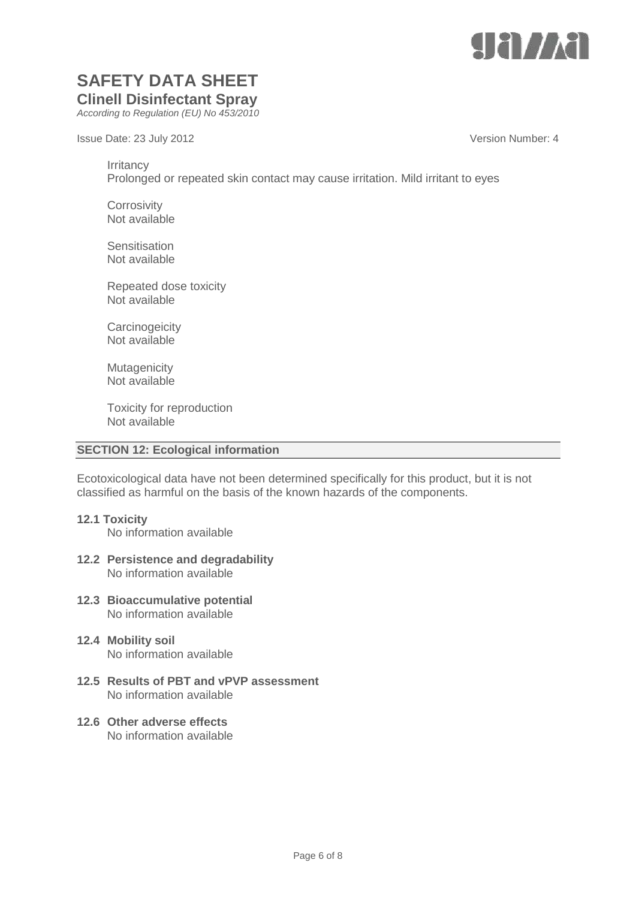

*According to Regulation (EU) No 453/2010*

Issue Date: 23 July 2012 **Version Number: 4** 

**Irritancy** 

Prolonged or repeated skin contact may cause irritation. Mild irritant to eyes

**Corrosivity** Not available

**Sensitisation** Not available

Repeated dose toxicity Not available

**Carcinogeicity** Not available

**Mutagenicity** Not available

Toxicity for reproduction Not available

#### **SECTION 12: Ecological information**

Ecotoxicological data have not been determined specifically for this product, but it is not classified as harmful on the basis of the known hazards of the components.

**12.1 Toxicity**

No information available

- **12.2 Persistence and degradability** No information available
- **12.3 Bioaccumulative potential** No information available
- **12.4 Mobility soil** No information available
- **12.5 Results of PBT and vPVP assessment** No information available
- **12.6 Other adverse effects** No information available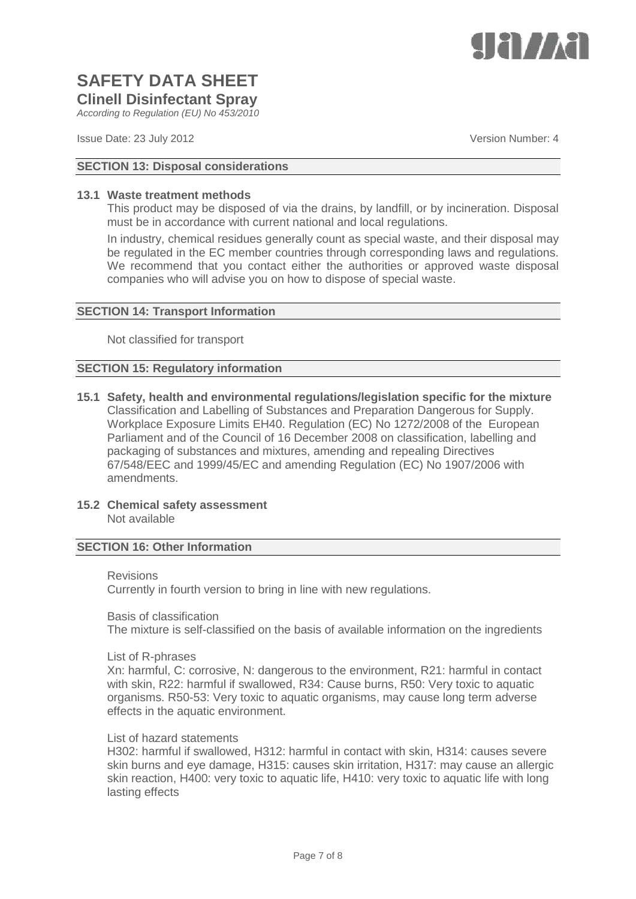

*According to Regulation (EU) No 453/2010*

Issue Date: 23 July 2012 **Version Number: 4** Number: 4

### **SECTION 13: Disposal considerations**

#### **13.1 Waste treatment methods**

This product may be disposed of via the drains, by landfill, or by incineration. Disposal must be in accordance with current national and local regulations.

In industry, chemical residues generally count as special waste, and their disposal may be regulated in the EC member countries through corresponding laws and regulations. We recommend that you contact either the authorities or approved waste disposal companies who will advise you on how to dispose of special waste.

#### **SECTION 14: Transport Information**

Not classified for transport

#### **SECTION 15: Regulatory information**

- **15.1 Safety, health and environmental regulations/legislation specific for the mixture** Classification and Labelling of Substances and Preparation Dangerous for Supply. Workplace Exposure Limits EH40. Regulation (EC) No 1272/2008 of the European Parliament and of the Council of 16 December 2008 on classification, labelling and packaging of substances and mixtures, amending and repealing Directives 67/548/EEC and 1999/45/EC and amending Regulation (EC) No 1907/2006 with amendments.
- **15.2 Chemical safety assessment** Not available

#### **SECTION 16: Other Information**

#### Revisions

Currently in fourth version to bring in line with new regulations.

Basis of classification

The mixture is self-classified on the basis of available information on the ingredients

List of R-phrases

Xn: harmful, C: corrosive, N: dangerous to the environment, R21: harmful in contact with skin, R22: harmful if swallowed, R34: Cause burns, R50: Very toxic to aquatic organisms. R50-53: Very toxic to aquatic organisms, may cause long term adverse effects in the aquatic environment.

#### List of hazard statements

H302: harmful if swallowed, H312: harmful in contact with skin, H314: causes severe skin burns and eye damage, H315: causes skin irritation, H317: may cause an allergic skin reaction, H400: very toxic to aquatic life, H410: very toxic to aquatic life with long lasting effects